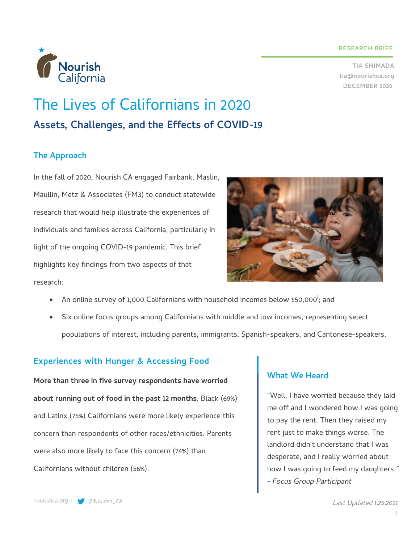#### **RESEARCH BRIEF**

**TIA SHIMADA tia@nourishca.org DECEMBER 2020**



# The Lives of Californians in 2020 **Assets, Challenges, and the Effects of COVID-19**

# **The Approach**

In the fall of 2020, Nourish CA engaged Fairbank, Maslin, Maullin, Metz & Associates (FM3) to conduct statewide research that would help illustrate the experiences of individuals and families across California, particularly in light of the ongoing COVID-19 pandemic. This brief highlights key findings from two aspects of that research:



- $\bullet$   $\,$  An online survey of 1,000 Californians with household incomes below \$50,000 $^{\rm i}$ ; and
- Six online focus groups among Californians with middle and low incomes, representing select populations of interest, including parents, immigrants, Spanish-speakers, and Cantonese-speakers.

## **Experiences with Hunger & Accessing Food**

**More than three in five survey respondents have worried about running out of food in the past 12 months**. Black (69%) and Latinx (75%) Californians were more likely experience this concern than respondents of other races/ethnicities. Parents were also more likely to face this concern (74%) than Californians without children (56%).

## **What We Heard**

"Well, I have worried because they laid me off and I wondered how I was going to pay the rent. Then they raised my rent just to make things worse. The landlord didn't understand that I was desperate, and I really worried about how I was going to feed my daughters." *- Focus Group Participant*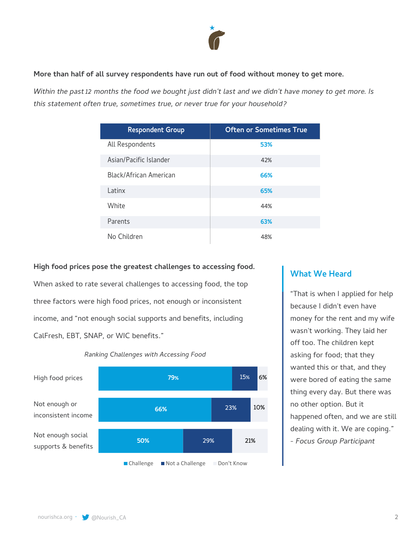

#### **More than half of all survey respondents have run out of food without money to get more.**

*Within the past 12 months the food we bought just didn't last and we didn't have money to get more. Is this statement often true, sometimes true, or never true for your household?*

| <b>Respondent Group</b> | <b>Often or Sometimes True</b> |
|-------------------------|--------------------------------|
| All Respondents         | 53%                            |
| Asian/Pacific Islander  | 42%                            |
| Black/African American  | 66%                            |
| l atinx                 | 65%                            |
| White                   | 44%                            |
| Parents                 | 63%                            |
| No Children             | 48%                            |

#### **High food prices pose the greatest challenges to accessing food.**

When asked to rate several challenges to accessing food, the top three factors were high food prices, not enough or inconsistent income, and "not enough social supports and benefits, including CalFresh, EBT, SNAP, or WIC benefits."



#### *Ranking Challenges with Accessing Food*

## **What We Heard**

"That is when I applied for help because I didn't even have money for the rent and my wife wasn't working. They laid her off too. The children kept asking for food; that they wanted this or that, and they were bored of eating the same thing every day. But there was no other option. But it happened often, and we are still dealing with it. We are coping." *- Focus Group Participant*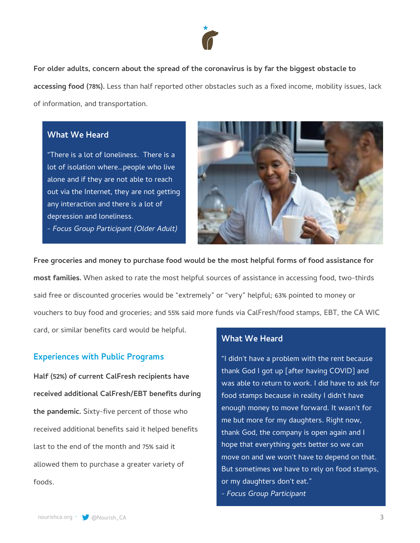

**For older adults, concern about the spread of the coronavirus is by far the biggest obstacle to accessing food (78%).** Less than half reported other obstacles such as a fixed income, mobility issues, lack of information, and transportation.

### **What We Heard**

"There is a lot of loneliness. There is a lot of isolation where…people who live alone and if they are not able to reach out via the Internet, they are not getting any interaction and there is a lot of depression and loneliness. *- Focus Group Participant (Older Adult)*



**Free groceries and money to purchase food would be the most helpful forms of food assistance for most families.** When asked to rate the most helpful sources of assistance in accessing food, two-thirds said free or discounted groceries would be "extremely" or "very" helpful; 63% pointed to money or vouchers to buy food and groceries; and 55% said more funds via CalFresh/food stamps, EBT, the CA WIC card, or similar benefits card would be helpful.

## **Experiences with Public Programs**

**Half (52%) of current CalFresh recipients have received additional CalFresh/EBT benefits during the pandemic.** Sixty-five percent of those who received additional benefits said it helped benefits last to the end of the month and 75% said it allowed them to purchase a greater variety of foods.

## **What We Heard**

"I didn't have a problem with the rent because thank God I got up [after having COVID] and was able to return to work. I did have to ask for food stamps because in reality I didn't have enough money to move forward. It wasn't for me but more for my daughters. Right now, thank God, the company is open again and I hope that everything gets better so we can move on and we won't have to depend on that. But sometimes we have to rely on food stamps, or my daughters don't eat." *- Focus Group Participant*